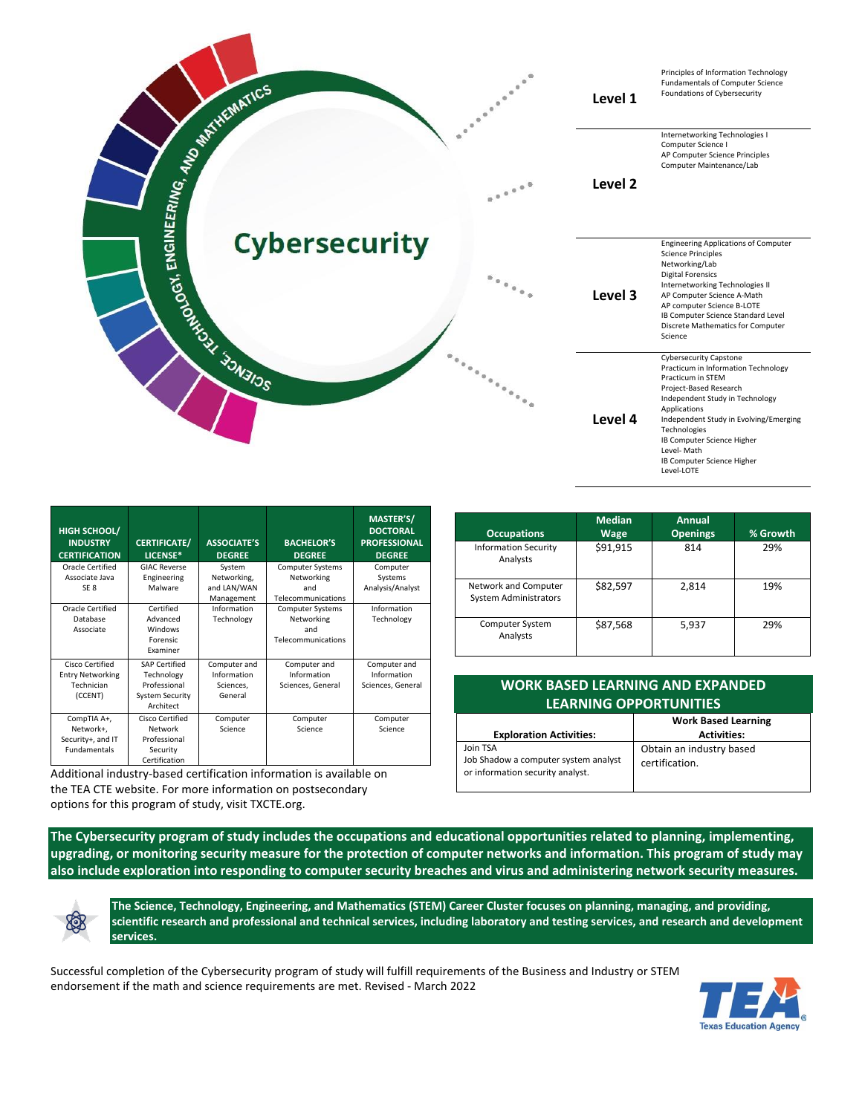|                                                                 |                                                                                                                                                                                                                                                                                                                                                                                                                                                           | Level 1 | Principles of Information Technology<br>Fundamentals of Computer Science<br>Foundations of Cybersecurity                                                                                                                                                                                                                 |
|-----------------------------------------------------------------|-----------------------------------------------------------------------------------------------------------------------------------------------------------------------------------------------------------------------------------------------------------------------------------------------------------------------------------------------------------------------------------------------------------------------------------------------------------|---------|--------------------------------------------------------------------------------------------------------------------------------------------------------------------------------------------------------------------------------------------------------------------------------------------------------------------------|
|                                                                 | $e^{\pm \frac{\pi}{2} \frac{\pi}{2} \frac{\pi}{2} \frac{\pi}{2} \frac{\pi}{2} \frac{\pi}{2} \frac{\pi}{2} \frac{\pi}{2} \frac{\pi}{2} \frac{\pi}{2} \frac{\pi}{2} \frac{\pi}{2} \frac{\pi}{2} \frac{\pi}{2} \frac{\pi}{2} \frac{\pi}{2} \frac{\pi}{2} \frac{\pi}{2} \frac{\pi}{2} \frac{\pi}{2} \frac{\pi}{2} \frac{\pi}{2} \frac{\pi}{2} \frac{\pi}{2} \frac{\pi}{2} \frac{\pi}{2} \frac{\pi}{2} \frac{\pi}{2} \frac{\pi}{2} \frac{\pi}{2} \frac{\pi}{2$ | Level 2 | Internetworking Technologies I<br>Computer Science I<br>AP Computer Science Principles<br>Computer Maintenance/Lab                                                                                                                                                                                                       |
| <b>SOLD GOT ENGINEERING AND SCHOOLS AND SCHOOLS AND SCHOOLS</b> | <b>Cybersecurity</b>                                                                                                                                                                                                                                                                                                                                                                                                                                      | Level 3 | <b>Engineering Applications of Computer</b><br><b>Science Principles</b><br>Networking/Lab<br><b>Digital Forensics</b><br>Internetworking Technologies II<br>AP Computer Science A-Math<br>AP computer Science B-LOTE<br>IB Computer Science Standard Level<br>Discrete Mathematics for Computer<br>Science              |
|                                                                 |                                                                                                                                                                                                                                                                                                                                                                                                                                                           | Level 4 | <b>Cybersecurity Capstone</b><br>Practicum in Information Technology<br>Practicum in STEM<br>Project-Based Research<br>Independent Study in Technology<br>Applications<br>Independent Study in Evolving/Emerging<br>Technologies<br>IB Computer Science Higher<br>Level-Math<br>IB Computer Science Higher<br>Level-LOTE |

| HIGH SCHOOL/<br><b>INDUSTRY</b><br><b>CERTIFICATION</b>              | <b>CERTIFICATE/</b><br>LICENSE*                                                           | <b>ASSOCIATE'S</b><br><b>DEGREE</b>                 | <b>BACHELOR'S</b><br><b>DEGREE</b>                                 | <b>MASTER'S/</b><br><b>DOCTORAL</b><br><b>PROFESSIONAL</b><br><b>DEGREE</b> |
|----------------------------------------------------------------------|-------------------------------------------------------------------------------------------|-----------------------------------------------------|--------------------------------------------------------------------|-----------------------------------------------------------------------------|
| Oracle Certified<br>Associate Java<br>SE <sub>8</sub>                | <b>GIAC Reverse</b><br>Engineering<br>Malware                                             | System<br>Networking,<br>and LAN/WAN<br>Management  | <b>Computer Systems</b><br>Networking<br>and<br>Telecommunications | Computer<br>Systems<br>Analysis/Analyst                                     |
| Oracle Certified<br>Database<br>Associate                            | Certified<br>Advanced<br>Windows<br>Forensic<br>Examiner                                  | Information<br>Technology                           | <b>Computer Systems</b><br>Networking<br>and<br>Telecommunications | Information<br>Technology                                                   |
| Cisco Certified<br><b>Entry Networking</b><br>Technician<br>(CCENT)  | <b>SAP Certified</b><br>Technology<br>Professional<br><b>System Security</b><br>Architect | Computer and<br>Information<br>Sciences.<br>General | Computer and<br>Information<br>Sciences, General                   | Computer and<br>Information<br>Sciences, General                            |
| CompTIA A+,<br>Network+,<br>Security+, and IT<br><b>Fundamentals</b> | Cisco Certified<br>Network<br>Professional<br>Security<br>Certification                   | Computer<br>Science                                 | Computer<br>Science                                                | Computer<br>Science                                                         |

Additional industry-based certification information is available on the TEA CTE website. For more information on postsecondary options for this program of study, visit TXCTE.org.

| <b>Occupations</b>                                   | <b>Median</b><br><b>Wage</b> | Annual<br><b>Openings</b> | % Growth |
|------------------------------------------------------|------------------------------|---------------------------|----------|
| <b>Information Security</b><br>Analysts              | \$91,915                     | 814                       | 29%      |
| Network and Computer<br><b>System Administrators</b> | \$82,597                     | 2,814                     | 19%      |
| Computer System<br>Analysts                          | \$87,568                     | 5,937                     | 29%      |

| <b>WORK BASED LEARNING AND EXPANDED</b><br><b>LEARNING OPPORTUNITIES</b>             |                                                  |  |  |
|--------------------------------------------------------------------------------------|--------------------------------------------------|--|--|
| <b>Exploration Activities:</b>                                                       | <b>Work Based Learning</b><br><b>Activities:</b> |  |  |
|                                                                                      |                                                  |  |  |
| Join TSA<br>Job Shadow a computer system analyst<br>or information security analyst. | Obtain an industry based<br>certification.       |  |  |

**The Cybersecurity program of study includes the occupations and educational opportunities related to planning, implementing, upgrading, or monitoring security measure for the protection of computer networks and information. This program of study may also include exploration into responding to computer security breaches and virus and administering network security measures.**



**The Science, Technology, Engineering, and Mathematics (STEM) Career Cluster focuses on planning, managing, and providing, scientific research and professional and technical services, including laboratory and testing services, and research and development services.**

Successful completion of the Cybersecurity program of study will fulfill requirements of the Business and Industry or STEM endorsement if the math and science requirements are met. Revised - March 2022

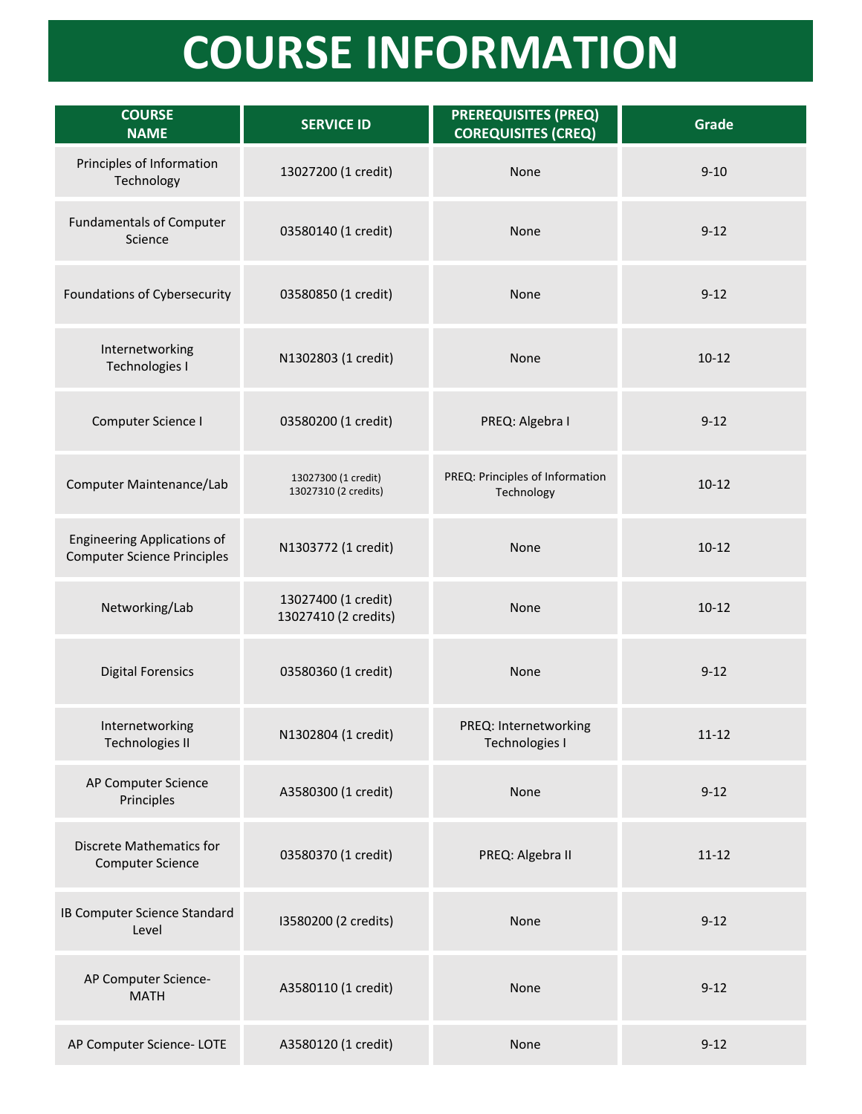## **COURSE INFORMATION**

| <b>COURSE</b><br><b>NAME</b>                                             | <b>SERVICE ID</b>                           | <b>PREREQUISITES (PREQ)</b><br><b>COREQUISITES (CREQ)</b> | Grade     |
|--------------------------------------------------------------------------|---------------------------------------------|-----------------------------------------------------------|-----------|
| Principles of Information<br>Technology                                  | 13027200 (1 credit)                         | None                                                      | $9 - 10$  |
| <b>Fundamentals of Computer</b><br>Science                               | 03580140 (1 credit)                         | None                                                      | $9 - 12$  |
| Foundations of Cybersecurity                                             | 03580850 (1 credit)                         | None                                                      | $9 - 12$  |
| Internetworking<br>Technologies I                                        | N1302803 (1 credit)                         | None                                                      | $10 - 12$ |
| Computer Science I                                                       | 03580200 (1 credit)                         | PREQ: Algebra I                                           | $9 - 12$  |
| Computer Maintenance/Lab                                                 | 13027300 (1 credit)<br>13027310 (2 credits) | PREQ: Principles of Information<br>Technology             | $10 - 12$ |
| <b>Engineering Applications of</b><br><b>Computer Science Principles</b> | N1303772 (1 credit)                         | None                                                      | $10 - 12$ |
| Networking/Lab                                                           | 13027400 (1 credit)<br>13027410 (2 credits) | None                                                      | $10 - 12$ |
| <b>Digital Forensics</b>                                                 | 03580360 (1 credit)                         | None                                                      | $9 - 12$  |
| Internetworking<br>Technologies II                                       | N1302804 (1 credit)                         | PREQ: Internetworking<br>Technologies I                   | $11 - 12$ |
| AP Computer Science<br>Principles                                        | A3580300 (1 credit)                         | None                                                      | $9 - 12$  |
| <b>Discrete Mathematics for</b><br><b>Computer Science</b>               | 03580370 (1 credit)                         | PREQ: Algebra II                                          | $11 - 12$ |
| <b>IB Computer Science Standard</b><br>Level                             | I3580200 (2 credits)                        | None                                                      | $9 - 12$  |
| AP Computer Science-<br><b>MATH</b>                                      | A3580110 (1 credit)                         | None                                                      | $9 - 12$  |
| AP Computer Science-LOTE                                                 | A3580120 (1 credit)                         | None                                                      | $9 - 12$  |